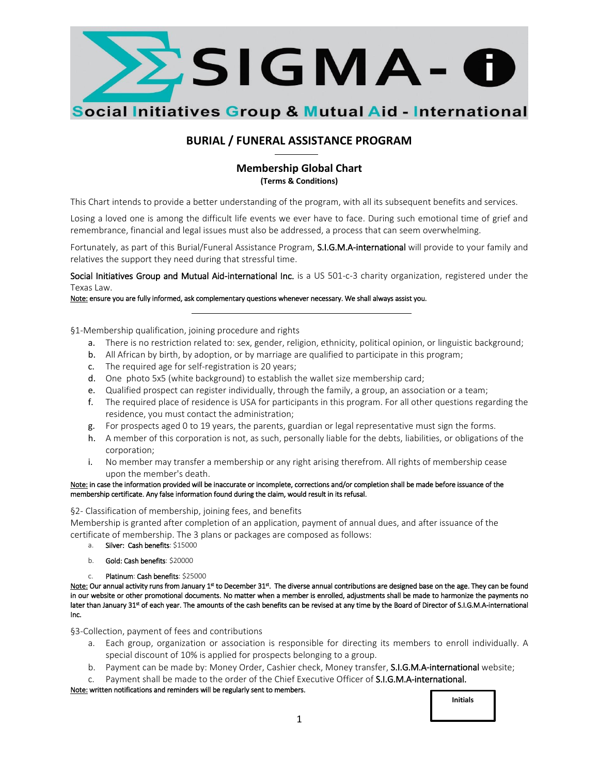

# **BURIAL / FUNERAL ASSISTANCE PROGRAM**

# **Membership Global Chart (Terms & Conditions)**

This Chart intends to provide a better understanding of the program, with all its subsequent benefits and services.

Losing a loved one is among the difficult life events we ever have to face. During such emotional time of grief and remembrance, financial and legal issues must also be addressed, a process that can seem overwhelming.

Fortunately, as part of this Burial/Funeral Assistance Program, S.I.G.M.A-international will provide to your family and relatives the support they need during that stressful time.

Social Initiatives Group and Mutual Aid-international Inc. is a US 501-c-3 charity organization, registered under the Texas Law.

Note: ensure you are fully informed, ask complementary questions whenever necessary. We shall always assist you.

§1-Membership qualification, joining procedure and rights

- a. There is no restriction related to: sex, gender, religion, ethnicity, political opinion, or linguistic background;
- b. All African by birth, by adoption, or by marriage are qualified to participate in this program;
- c. The required age for self-registration is 20 years;
- d. One photo 5x5 (white background) to establish the wallet size membership card;
- e. Qualified prospect can register individually, through the family, a group, an association or a team;
- f. The required place of residence is USA for participants in this program. For all other questions regarding the residence, you must contact the administration;
- g. For prospects aged 0 to 19 years, the parents, guardian or legal representative must sign the forms.
- h. A member of this corporation is not, as such, personally liable for the debts, liabilities, or obligations of the corporation;
- i. No member may transfer a membership or any right arising therefrom. All rights of membership cease upon the member's death.

#### Note: in case the information provided will be inaccurate or incomplete, corrections and/or completion shall be made before issuance of the membership certificate. Any false information found during the claim, would result in its refusal.

§2- Classification of membership, joining fees, and benefits

Membership is granted after completion of an application, payment of annual dues, and after issuance of the certificate of membership. The 3 plans or packages are composed as follows:

- a. Silver: Cash benefits: \$15000
- b. Gold: Cash benefits: \$20000
- Platinum: Cash benefits: \$25000

Note: Our annual activity runs from January 1st to December 31st. The diverse annual contributions are designed base on the age. They can be found in our website or other promotional documents. No matter when a member is enrolled, adjustments shall be made to harmonize the payments no later than January 31st of each year. The amounts of the cash benefits can be revised at any time by the Board of Director of S.I.G.M.A-international Inc.

§3-Collection, payment of fees and contributions

- a. Each group, organization or association is responsible for directing its members to enroll individually. A special discount of 10% is applied for prospects belonging to a group.
- b. Payment can be made by: Money Order, Cashier check, Money transfer, **S.I.G.M.A-international** website;
- c. Payment shall be made to the order of the Chief Executive Officer of S.I.G.M.A-international.

Note: written notifications and reminders will be regularly sent to members.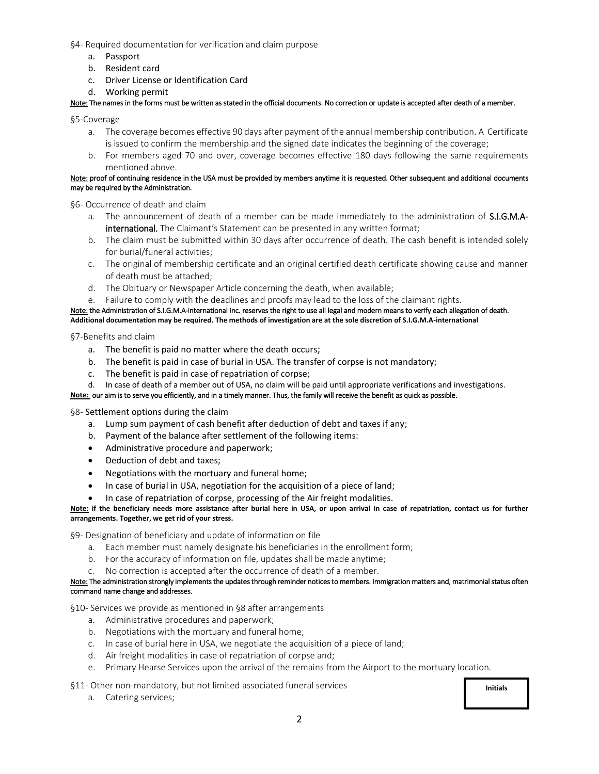§4- Required documentation for verification and claim purpose

- a. Passport
- b. Resident card
- c. Driver License or Identification Card
- d. Working permit

Note: The names in the forms must be written as stated in the official documents. No correction or update is accepted after death of a member.

§5-Coverage

- a. The coverage becomes effective 90 days after payment of the annual membership contribution. A Certificate is issued to confirm the membership and the signed date indicates the beginning of the coverage;
- b. For members aged 70 and over, coverage becomes effective 180 days following the same requirements mentioned above.

#### Note: proof of continuing residence in the USA must be provided by members anytime it is requested. Other subsequent and additional documents may be required by the Administration.

§6- Occurrence of death and claim

- a. The announcement of death of a member can be made immediately to the administration of **S.I.G.M.A**international. The Claimant's Statement can be presented in any written format;
- b. The claim must be submitted within 30 days after occurrence of death. The cash benefit is intended solely for burial/funeral activities;
- c. The original of membership certificate and an original certified death certificate showing cause and manner of death must be attached;
- d. The Obituary or Newspaper Article concerning the death, when available;
- e. Failure to comply with the deadlines and proofs may lead to the loss of the claimant rights.

Note: the Administration of S.I.G.M.A-international Inc. reserves the right to use all legal and modern means to verify each allegation of death. **Additional documentation may be required. The methods of investigation are at the sole discretion of S.I.G.M.A-international**

§7-Benefits and claim

- a. The benefit is paid no matter where the death occurs;
- b. The benefit is paid in case of burial in USA. The transfer of corpse is not mandatory;
- c. The benefit is paid in case of repatriation of corpse;
- d. In case of death of a member out of USA, no claim will be paid until appropriate verifications and investigations.

#### **Note:** our aim is to serve you efficiently, and in a timely manner. Thus, the family will receive the benefit as quick as possible.

§8- Settlement options during the claim

- a. Lump sum payment of cash benefit after deduction of debt and taxes if any;
- b. Payment of the balance after settlement of the following items:
- Administrative procedure and paperwork;
- Deduction of debt and taxes;
- Negotiations with the mortuary and funeral home;
- In case of burial in USA, negotiation for the acquisition of a piece of land;
- In case of repatriation of corpse, processing of the Air freight modalities.

**Note: if the beneficiary needs more assistance after burial here in USA, or upon arrival in case of repatriation, contact us for further arrangements. Together, we get rid of your stress.**

§9- Designation of beneficiary and update of information on file

- a. Each member must namely designate his beneficiaries in the enrollment form;
- b. For the accuracy of information on file, updates shall be made anytime;
- c. No correction is accepted after the occurrence of death of a member.

#### Note: The administration strongly implements the updates through reminder notices to members. Immigration matters and, matrimonial status often command name change and addresses.

§10- Services we provide as mentioned in §8 after arrangements

- a. Administrative procedures and paperwork;
- b. Negotiations with the mortuary and funeral home;
- c. In case of burial here in USA, we negotiate the acquisition of a piece of land;
- d. Air freight modalities in case of repatriation of corpse and;
- e. Primary Hearse Services upon the arrival of the remains from the Airport to the mortuary location.

§11- Other non-mandatory, but not limited associated funeral services

a. Catering services;

**Initials**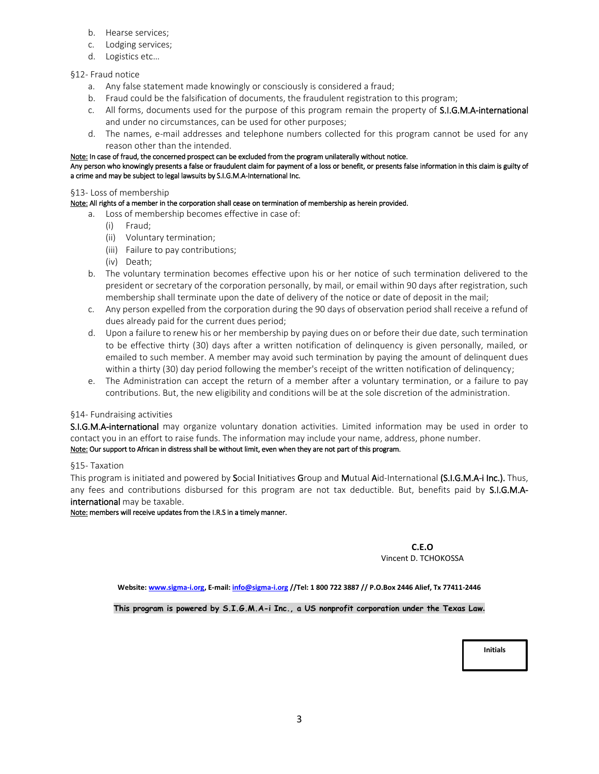- b. Hearse services;
- c. Lodging services;
- d. Logistics etc…

### §12- Fraud notice

- a. Any false statement made knowingly or consciously is considered a fraud;
- b. Fraud could be the falsification of documents, the fraudulent registration to this program;
- c. All forms, documents used for the purpose of this program remain the property of **S.I.G.M.A-international** and under no circumstances, can be used for other purposes;
- d. The names, e-mail addresses and telephone numbers collected for this program cannot be used for any reason other than the intended.

#### Note: In case of fraud, the concerned prospect can be excluded from the program unilaterally without notice.

Any person who knowingly presents a false or fraudulent claim for payment of a loss or benefit, or presents false information in this claim is guilty of a crime and may be subject to legal lawsuits by S.I.G.M.A-International Inc.

#### §13- Loss of membership

#### Note: All rights of a member in the corporation shall cease on termination of membership as herein provided.

- a. Loss of membership becomes effective in case of:
	- (i) Fraud;
	- (ii) Voluntary termination;
	- (iii) Failure to pay contributions;
	- (iv) Death;
- b. The voluntary termination becomes effective upon his or her notice of such termination delivered to the president or secretary of the corporation personally, by mail, or email within 90 days after registration, such membership shall terminate upon the date of delivery of the notice or date of deposit in the mail;
- c. Any person expelled from the corporation during the 90 days of observation period shall receive a refund of dues already paid for the current dues period;
- d. Upon a failure to renew his or her membership by paying dues on or before their due date, such termination to be effective thirty (30) days after a written notification of delinquency is given personally, mailed, or emailed to such member. A member may avoid such termination by paying the amount of delinquent dues within a thirty (30) day period following the member's receipt of the written notification of delinquency;
- e. The Administration can accept the return of a member after a voluntary termination, or a failure to pay contributions. But, the new eligibility and conditions will be at the sole discretion of the administration.

### §14- Fundraising activities

S.I.G.M.A-international may organize voluntary donation activities. Limited information may be used in order to contact you in an effort to raise funds. The information may include your name, address, phone number. Note: Our support to African in distress shall be without limit, even when they are not part of this program.

#### §15- Taxation

This program is initiated and powered by Social Initiatives Group and Mutual Aid-International (S.I.G.M.A-i Inc.). Thus, any fees and contributions disbursed for this program are not tax deductible. But, benefits paid by S.I.G.M.Ainternational may be taxable.

#### Note: members will receive updates from the I.R.S in a timely manner.

#### **C.E.O** Vincent D. TCHOKOSSA

**Website[: www.sigma-i.org,](http://www.sigma-i.org/) E-mail[: info@sigma-i.org](mailto:info@sigma-i.org) //Tel: 1 800 722 3887 // P.O.Box 2446 Alief, Tx 77411-2446** 

**This program is powered by S.I.G.M.A-i Inc., a US nonprofit corporation under the Texas Law.**

**Initials**